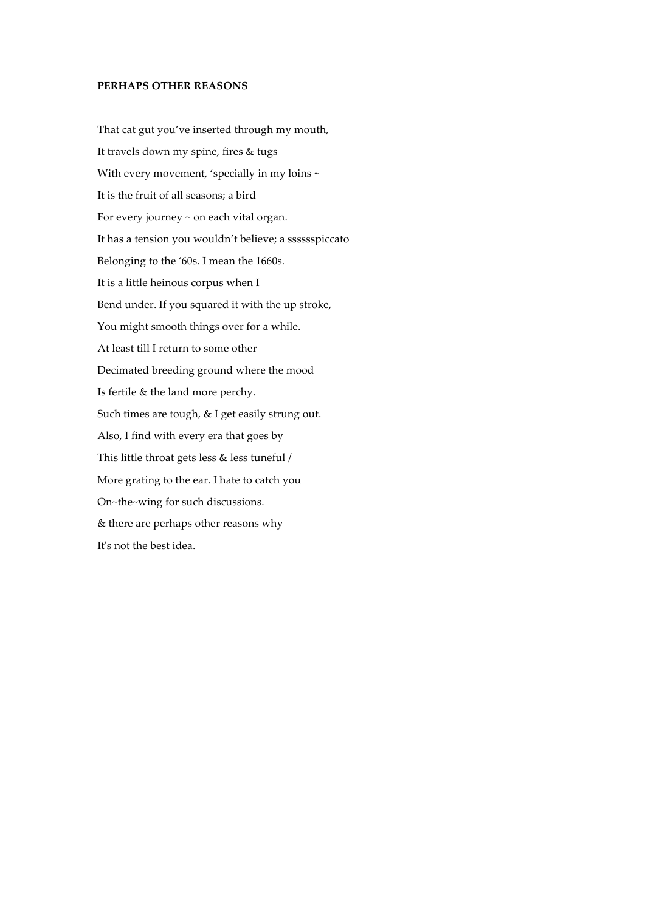## PERHAPS OTHER REASONS

That cat gut you've inserted through my mouth, It travels down my spine, fires & tugs With every movement, 'specially in my loins ~ It is the fruit of all seasons; a bird For every journey ~ on each vital organ. It has a tension you wouldn't believe; a sssssspiccato Belonging to the '60s. I mean the 1660s. It is a little heinous corpus when I Bend under. If you squared it with the up stroke, You might smooth things over for a while. At least till I return to some other Decimated breeding ground where the mood Is fertile & the land more perchy. Such times are tough, & I get easily strung out. Also, I find with every era that goes by This little throat gets less & less tuneful / More grating to the ear. I hate to catch you On~the~wing for such discussions. & there are perhaps other reasons why It's not the best idea.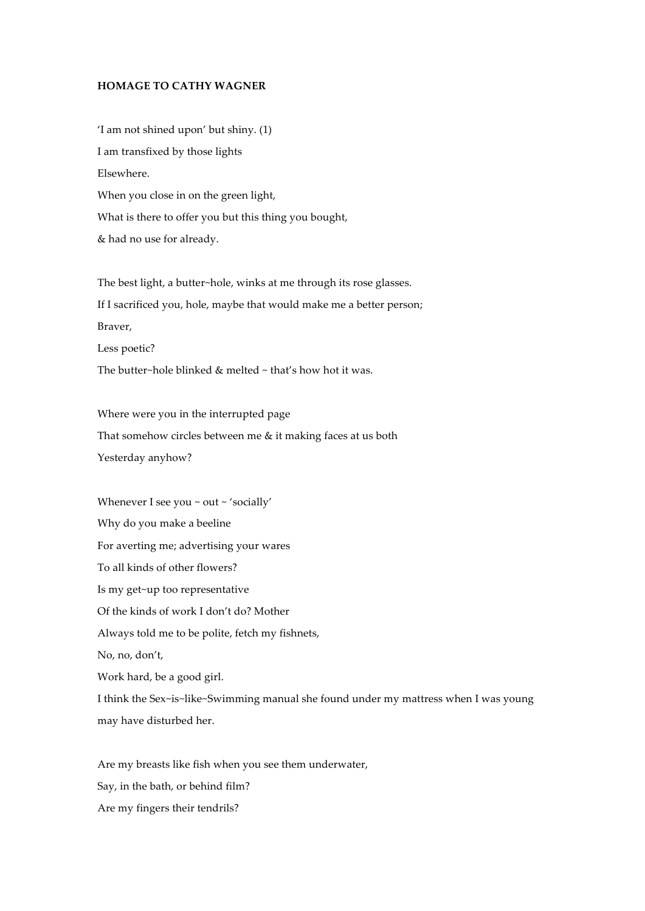## **HOMAGE TO CATHY WAGNER**

'I am not shined upon' but shiny. (1) I am transfixed by those lights Elsewhere. When you close in on the green light, What is there to offer you but this thing you bought, & had no use for already.

The best light, a butter~hole, winks at me through its rose glasses. If I sacrificed you, hole, maybe that would make me a better person; Braver, Less poetic? The butter~hole blinked & melted ~ that's how hot it was.

Where were you in the interrupted page That somehow circles between me & it making faces at us both Yesterday anyhow?

Whenever I see you ~ out ~ 'socially' Why do you make a beeline For averting me; advertising your wares To all kinds of other flowers? Is my get~up too representative Of the kinds of work I don't do? Mother Always told me to be polite, fetch my fishnets, No, no, don't, Work hard, be a good girl. I think the Sex~is~like~Swimming manual she found under my mattress when I was young may have disturbed her.

Are my breasts like fish when you see them underwater, Say, in the bath, or behind film? Are my fingers their tendrils?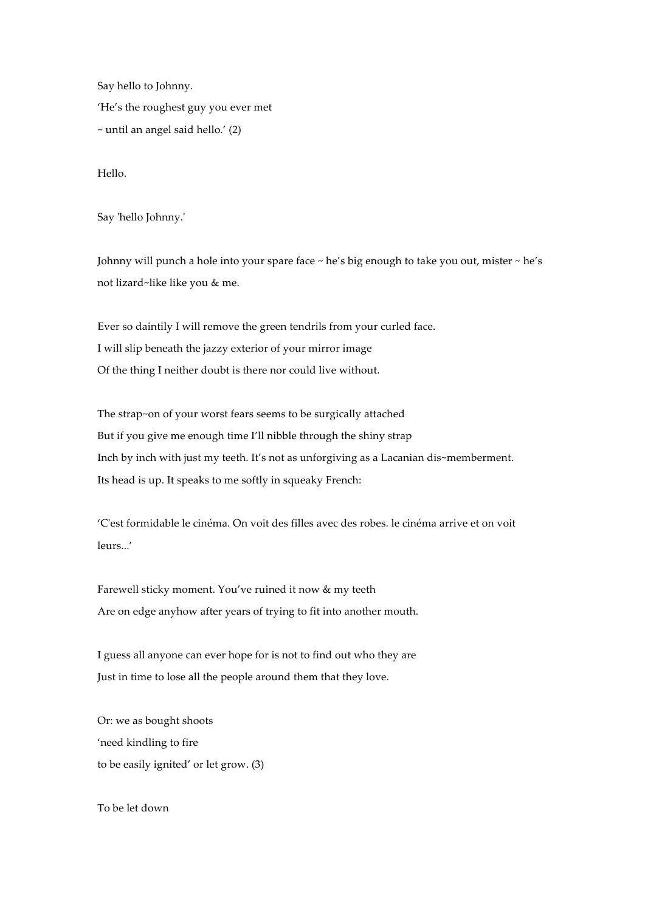Say hello to Johnny. 'He's the roughest guy you ever met  $\sim$  until an angel said hello.' (2)

Hello.

Say 'hello Johnny.'

Johnny will punch a hole into your spare face ~ he's big enough to take you out, mister ~ he's not lizard~like like you & me.

Ever so daintily I will remove the green tendrils from your curled face. I will slip beneath the jazzy exterior of your mirror image Of the thing I neither doubt is there nor could live without.

The strap~on of your worst fears seems to be surgically attached But if you give me enough time I'll nibble through the shiny strap Inch by inch with just my teeth. It's not as unforgiving as a Lacanian dis~memberment. Its head is up. It speaks to me softly in squeaky French:

'C'est formidable le cinéma. On voit des filles avec des robes. le cinéma arrive et on voit leurs...'

Farewell sticky moment. You've ruined it now & my teeth Are on edge anyhow after years of trying to fit into another mouth.

I guess all anyone can ever hope for is not to find out who they are Just in time to lose all the people around them that they love.

Or: we as bought shoots 'need kindling to fire to be easily ignited' or let grow. (3)

To be let down